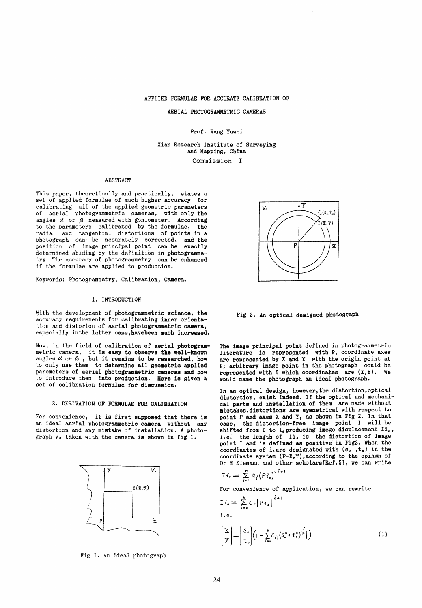APPLIED FORMULAE FOR ACCURATE CALIBRATION OF

AERIAL PHOTOGRAMMETRIC CAMERAS

Prof. Wang Yuwei

Xian Research Institute of Surveying and Mapping, China

Commission I

#### ABSTRACT

This paper, theoretica11y and practically, states a set of applied formulae of much higher accuracy for caI ibrating a11 of the applied geometric parameters of aerial photogrammetric cameras, with only the angles  $\alpha$  or  $\beta$  measured with goniometer. According to the parameters calibrated by the formulae, the radial and tangential distortions of points in a radial and tangential distortions of points in a photograph can be accurately corrected, and the position of image principal point can be exactly determined abiding by the definition in photogrammetry. The accuracy of photogrammetry can be enhanced if the formulae are applied to production.

Keywords: Photogrammetry, Calibration, Camera.

#### 1. INTRODUCTION

With the development of photogrammetric science, the accuracy requirements for callbrating inner orientation and distorion of aerial photogrammetric camera, especially inthe latter case, havebeen much increased.

Now, in the field of calibration of aerial photogrammetric camera, it is easy to observe the well-known angles  $\alpha$  or  $\beta$ , but it remains to be researched, how to only use them to determine all geometric applied paremeters of aerial photogrammetric cameras and how to introduce them *into* production. Kere is given a set of calibration formulae for discussion.

### 2. DERIVATION OF FORMULAE FOR CALIBRATION

For convenience, it is first supposed that there is an ideal aerial photogrammetric camera without any distortion and any mistake of installation. A photograph  $V_o$  taken with the camera is shown in fig 1.



Fig 1. An ideal photograph



Fig 2. An optieal designed photograph

The image principal point defined in photogrammetric<br>literature is represented with P, coordinate axes are represented by  $X$  and  $Y$  with the origin point at P; arbitrary image point in the photograph could be represented with I which coordinates are  $(X, Y)$ . We would name the photograph an ideal photograph.

In an optical design, however, the distortion, optical<br>distortion, exist indeed. If the optical and mechanical parts and installation of them are made without mistakes,distortions are symmetrical with respect to point P and axes X and Y, as shown in Fig 2. In that ease, the distortion-free image point I will be shifted from I to i, producing imege displacement Ii., i.e. the length of Ii, is the distortion of image point I and is defined as positive in Fig2. When the coordinates of i, are designated with  $(s, t_0)$  in the coordinate system (P-X, Y), according to the opinim of Dr H Ziemann and other scholars[Ref.5], we can write  $\alpha$  *z i z i z i z i z i z i a i z i a i i i j i i i j i i i j i i i j i i i j i i i j i i i j i i i j i i i i j* 

$$
\mathcal{I}\mathcal{I}_o=\sum_{i=1}^n a_i (P\mathcal{I}_o)^{2i+1}
$$

For convenience of application, we can rewrite

$$
\begin{split} \mathbf{I} \,\dot{\mathbf{\zeta}}_{\mathbf{s}} &= \sum_{i=0}^{n} C_{\mathbf{\zeta}} \left| P \, \mathbf{\zeta}_{\mathbf{s}} \right|^{\hat{\mathbf{\zeta}}+1} \\ \text{i.e.} \\ \begin{pmatrix} \mathbf{X} \\ \mathbf{y} \end{pmatrix} &= \begin{bmatrix} S_{\mathbf{s}} \\ \mathbf{t}_{\mathbf{s}} \end{bmatrix} \left( 1 - \sum_{i=0}^{n} C_{\mathbf{\zeta}} \left| \left( S_{\mathbf{s}}^{2} + \mathbf{t}_{\mathbf{s}}^{2} \right)^{\frac{\hat{\mathbf{\zeta}}}{2}} \right| \right) \end{split} \tag{1}
$$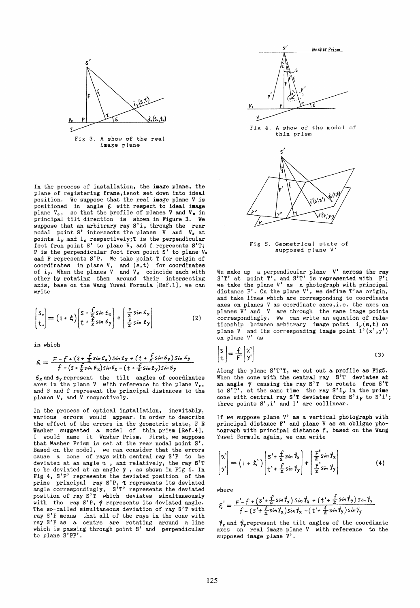

In the process of installation, the image plane, the plane of registering frame,isnot set down into ideal position. We suppose that the real image plane V is positioned in angle  $\epsilon$  with respect to ideal image plane  $V_o$ , so that the profile of planes V and  $V_o$  in principal tilt direction is shown in Figure 3. We suppose that an arbitrary ray  $S'$  i. through the rear nodal point S' intersects the planes  $V$  and  $V_0$  at points  $i_{\nu}$  and  $i_{o}$  respectively;  $T$  is the perpendicular foot from point S' to plane V, and f represents B'T; P is the perpendicular foot from point S' to plane V. and F represents S'P. We take point T for origin of coordinates in plane  $V$ , and  $(s,t)$  for coordinates of  $i_y$ . When the planes V and V<sub>o</sub> coincide each with other by rotating them around their intersecting axis, base on the Wang Yuwei Formula [Ref. 1], we can write

$$
\begin{pmatrix} S_{*} \\ t_{*} \end{pmatrix} = \left( 1 + \xi \right) \begin{pmatrix} S + \frac{f}{2} \sin \xi_{x} \\ t + \frac{f}{2} \sin \xi_{y} \end{pmatrix} + \begin{pmatrix} \frac{F}{2} \sin \xi_{x} \\ \frac{F}{2} \sin \xi_{y} \end{pmatrix}
$$
 (2)

in which

$$
\xi = \frac{F - f + (S + \frac{f}{z} \sin \epsilon_x) \sin \epsilon_x + (t + \frac{f}{z} \sin \epsilon_y) \sin \epsilon_y}{f - (S + \frac{f}{z} \sin \epsilon_x) \sin \epsilon_x - (t + \frac{f}{z} \sin \epsilon_y) \sin \epsilon_y}
$$

 $\epsilon_x$  and  $\epsilon_y$  represent the tilt angles of coordinates axes in the plane V with reference to the plane  $V_o$ , and F and f represent the principal distances to the planes V. and V respectively.

In the process of optical installation, inevitably, various errors would appear. In order to describe the effect of the errors in the geometrie state, F E Washer suggested a model of thin prism [Ref.4],<br>I would name it Washer-Prism. First, we suppose that Washer Prism is set at the rear nodal point S'. Based on the model, we can consider that the errors cause a cone of rays with central ray S'P to be deviated at an angle  $\tau$ , and relatively, the ray S'T to be deviated at an angle  $\gamma$ , as shown in Fig 4. In Fig 4, 8'P' represents the deviated position of the prime principal ray S'P, 7 represents its deviated angle correspondingly, S'T' represents the deviated position of ray S'T which deviates simultaneously with the ray  $S'P$ ,  $\gamma$  represents its deviated angle. The so-called simultaneous deviation of ray S'T with ray S'P means that all of the rays in the cone with ray S'P as a centre are rotating around a line which is passing through point S' and perpendicular to plane S'PP'.



Fig 4. A show of the model of thin prism



Fig 5. Geometrical state of supposed plane V'

We make up a perpendicular plane  $V'$  across the ray S'T' at point T', and S'T' is represented with F';<br>we take the plane V' as a photograph with principal distance F'. On the plane  $V'$ , we define T'as origin, and take lines which are corresponding to coordinate axes on planes V as coordinate axes,i.e. the axes on planes  $V'$  and  $V$  are through the same image points correspondingly. We ean write an equation of relationship between arbitrary image point  $i_{\nu}(s,t)$  on plane V and its corresponding image point  $I'(x', y')$ on plane V' as

$$
\begin{bmatrix} s \\ t \end{bmatrix} = \frac{f}{F} \begin{bmatrix} \chi' \\ y' \end{bmatrix}
$$
 (3)

Along the plane  $S'T'T$ , we cut out a profile as Fig5.<br>When the cone with the central ray  $S'T$  deviates at an angle  $\gamma$  causing the ray S'T to rotate from S'T to  $S'T'$ , at the same time the ray  $S'i_V$  in the prime cone with central ray S'T deviates from S'i<sub>V</sub> to S'i'; three points  $S', i'$  and  $I'$  are collinear.

If we suppose plane V' as a vertical photograph with principal distance  $F'$  and plane V as an obligue photograph with principal distance f, based on tbe Wang Yuwei Formula again, we can write

$$
\begin{bmatrix} x' \\ y' \end{bmatrix} = \left( 1 + \xi' \right) \begin{bmatrix} S' + \frac{f}{2} \sin \theta_x \\ t' + \frac{f}{2} \sin \theta_y \end{bmatrix} + \begin{bmatrix} \frac{F}{2} \sin \theta_x \\ \frac{F}{2} \sin \theta_y \end{bmatrix}
$$
 (4)

where

$$
\xi' = \frac{F'-f + (S'+\frac{f}{2}\sin\gamma_x)\sin\gamma_x + (t'+\frac{f}{2}\sin\gamma_y)\sin\gamma_y}{f - (S'+\frac{f}{2}\sin\gamma_x)\sin\gamma_x - (t'+\frac{f}{2}\sin\gamma_y)\sin\gamma_y}
$$

 $\gamma_x$  and  $\gamma_y$  represent the tilt angles of the coordinate axes on real image plane V with reference to the supposed image plane V'.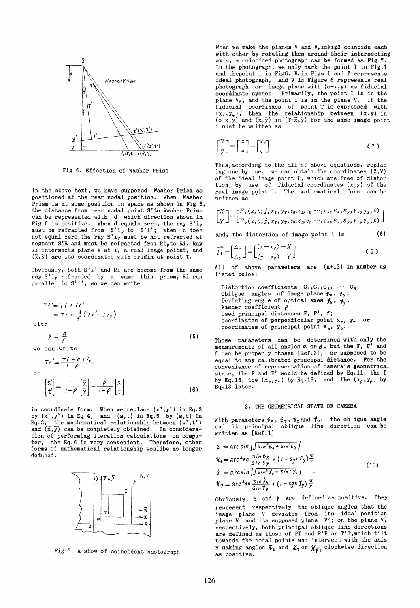

Fig 6. Effection of Washer Prism

In the above text, we have supposed Washer Prism as positioned at the rear nodal position. When Washer Prism is at some position in space as shown in Fig 6, the distance from rear nodal point S'to Washer Prism can be represented with d which direction shewn in Fig 6 is positive. When d equals zero, the ray  $S'i_{\gamma}$  must be refracted from  $S'i_{\gamma}$  to  $S'i'$ ; when d does not equal zero, the ray  $S'i_{\gamma}$  must be not refracted at segment S'R and must be refracted from Ri<sub>v</sub>to Ri. Ray Ri intersects plane V at i, a real image poiint, and  $(\overline{x}, \overline{y})$  are its coordinates with origin at point T.

Obviously, both S'i' and Ri are become from the same ray  $S'$ i, refracted by a same thin prism, Ri run parallel to  $S'$ i', so we can write

$$
Ti' = Ti + i i'
$$
  
=  $Ti + \frac{d}{f}(Ti' - Ti_{v})$   
with  

$$
\rho = \frac{d}{f}
$$
  
we can write

or  $Ti' = \frac{Ti - \rho Ti_{\nu}}{1 - \rho}$  $\begin{bmatrix} S' \\ t' \end{bmatrix} = \frac{1}{1 - \rho} \begin{bmatrix} \overline{x} \\ \overline{y} \end{bmatrix} - \frac{\rho}{1 - \rho} \begin{bmatrix} s \\ t \end{bmatrix}$ (6)

in coordinate form. When we replace  $(x', y')$  in Eq.3 by  $(x', y')$  in Eq.4, and  $(s, t)$  in Eq.6 by  $(s, t)$  in Eq.3, the mathematical relationship betwcen  $(s',t')$ and  $(\bar{x}, \bar{y})$  can be completely obtained. In consideration of performing iteration calculations on computer, the Eq.6 is very convenient. Therefore, other forms of mathematical relationship wouldbe no longer deduced.



Fig 7. A show of coincident photograph

When we make the planes V and  $V<sub>e</sub>$  inFig3 coincide each with other by rotating them around their intersecting axis, a coincided photograph can be formed as Fig 7. In the photograph, we only mark the point I in Fig.1 and thepoint i in Fig6. V. in Figs 1 and 2 represents ideal photograph, and V in Figure 6 represents real photograph or image plane with (o-x,y) as fiducial coordinate system. Primarily, the point I is in the plane  $V_o$ , and the point i is in the plane  $V$ . If the fiducial coordinaes of point T is expressed with  $(x_*,y_*)$ , then the relationship between  $(x,y)$  in  $(0-x,y)$  and  $(\bar{x},\bar{y})$  in  $(T-\bar{x},\bar{y})$  for the same image point i must be written as

$$
\begin{bmatrix} \overline{x} \\ \overline{y} \end{bmatrix} = \begin{bmatrix} x \\ y \end{bmatrix} - \begin{bmatrix} x_r \\ y_r \end{bmatrix}
$$
 (7)

Thus,according to the a11 of above equations, replacing one by one, we can obtain the coordinates  $(X,Y)$ of the ideal image point I, which are free of distortion, by use of fiducial coordinates (x,y) of the real image pqint i. The mathematical form can be written as

$$
\begin{bmatrix} X \\ Y \end{bmatrix} = \begin{bmatrix} F_x(x, y; f, x_T, y_T, c_0, c_1, c_2, \cdots, c_n, \varepsilon_x, \varepsilon_y, \gamma_x, y_y, \rho) \\ F_y(x, y; f, x_T, y_T, c_0, c_1, c_2, \cdots, c_n, \varepsilon_x, \varepsilon_y, \gamma_x, \gamma_y, \rho) \end{bmatrix}
$$

and, the distortion of image point i is (8)

$$
\overrightarrow{I_i} = \begin{bmatrix} \Delta_x \\ \Delta_y \end{bmatrix} = \begin{bmatrix} (x - x_p) - X \\ (y - y_p) - Y \end{bmatrix}
$$
 (9)

All of above parameters are (n+13) in number as listed below:

Distortion coefficients  $C_0, C_1, C_2, \cdots C_n;$ Obligue angles of image plane  $\epsilon_x$ ,  $\epsilon_y$ ; Deviating angle of optical axes  $\gamma_x$ ,  $\gamma_y$ ; Washer coefficient  $\rho$ ; Used principal distances F, F', f; coordinates of perpendicular point  $x_7$ ,  $y_7$ ; or coordinates of principal point  $x_p$ ,  $y_p$ .

These parameters can be determined with only the measurements of all angles  $\triangleleft$  or  $\beta$ , but the F, F' and f can be properly chosen [Ref.3], or supposed to be equal to any calibrated principal distance. For the convenience of representation of camera's geometrical state, the F and F' would be defined by Eq.11, the f by Eq.15, the  $(x_7, y_7)$  by Eq.16, and the  $(x_p, y_p)$  by Eq.13 later.

#### 3. THE GEOMETRI CAL STATE OF CAMERA

With parameters  $\epsilon_x$ ,  $\epsilon_y$ ,  $\gamma_x$  and  $\gamma_y$ , the oblique angle and its principal oblique line direction can be written as [Ref .1]

$$
\varepsilon = \arcsin \left| \sqrt{\sin^2 \varepsilon_x + \sin^2 \varepsilon_y} \right|
$$
  
\n
$$
\chi_{\varepsilon} = \arctan \frac{\sin \varepsilon_x}{\sin \varepsilon_y} + (1 - \text{sgn}\varepsilon_y) \frac{\pi}{2}
$$
  
\n
$$
\gamma = \arcsin \left| \sqrt{\sin^2 \gamma_x + \sin^2 \gamma_y} \right|
$$
  
\n
$$
\chi_{\gamma} = \arctan \frac{\sin \gamma_x}{\sin \gamma_y} + (1 - \text{sgn}\gamma_y) \frac{\pi}{2}
$$
\n(10)

Obviously,  $\epsilon$  and  $\gamma$  are defined as positive. They represent respectively the oblique angles that the image plane V deviates from its ideal position plane V and its supposed plane V'; on the plane V, respectively, both principal oblique line directions are defined as those of PT and P'P or T'T,which tilt towards the nodal points and intersect with the axis y making angles  $\mathscr{K}_{\bm{\ell}}$  and  $\mathscr{K}_{\bm{\ell}}$  or  $\mathscr{K}_{\bm{\mathcal{Y}}},$  clockwise direction as positive.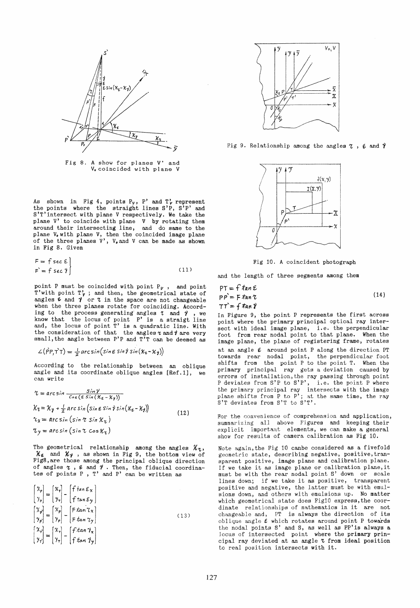

Fig 8. A show for planes V' and V<sub>o</sub>coincided with plane V

As shown in Fig 4, points  $P_v$ ,  $P'$  and  $T'_v$  represent the points where the straight lines S'P, S'P' and S'T'intersect with plane V respectively. We take the plane V' to coincide with plane V by rotating them around their intersecting line, and do same to the plane V. with plane V, then the coincided image plane of the three planes  $V'$ ,  $V_o$  and  $V$  can be made as shown in Fig 8. Given

$$
F = \{ \sec \epsilon \}
$$
  
\n
$$
F = \{ \sec \gamma \}
$$
 (11)

point P must be coincided with point  $P_v$ , and point T'with point  $T'_{\nu}$ ; and then, the geometrical state of angles  $\epsilon$  and  $\gamma$  or  $\tau$  in the space are not changeable when the three planes rotate for coinciding. According to the process generating angles  $\tau$  and  $\gamma$ , we know that the locus of point P' is a straigt line and, the locus of point  $\tilde{T}'$  is a quadratic line. With the consideration of that the angles  $\tau$  and  $\theta$  are very small, the angle between  $P'P$  and  $T'T$  can be deemed as

$$
\angle(\hat{P}P,\vec{T}\top) = \frac{1}{2}\arcsin(\sin \epsilon \sin \theta \sin(\kappa_{\epsilon} - \kappa_{\gamma}))
$$

According to the relationship between an oblique angle and its coordinate oblique angles  $[Ref.1]$ , we can write

$$
\begin{aligned}\n\mathcal{L} &= \arcsin \frac{\sin \gamma}{\cos \left(\epsilon \sin \left(\kappa_{\epsilon} - \kappa_{\gamma}\right)\right)} \\
\mathcal{K}_{\tau} &= \mathcal{K}_{\gamma} + \frac{1}{2} \arcsin \left(\sin \epsilon \sin \gamma \sin \left(\kappa_{\epsilon} - \kappa_{\gamma}\right)\right) \\
\mathcal{L}_{\chi} &= \arcsin \left(\sin \tau \sin \kappa_{\tau}\right) \\
\mathcal{L}_{\gamma} &= \arcsin \left(\sin \tau \cos \kappa_{\tau}\right)\n\end{aligned} \tag{12}
$$

The geometrical relationship among the angles  $\mathcal{X}_\tau$ ,  $\mathcal{X}_{\epsilon}$  and  $\mathcal{X}_{\gamma}$ , as shown in Fig 9, the bottom view of Fig8,are those among the principal oblique direction of angles  $\tau$  ,  $\varepsilon$  and  $\gamma$  . Then, the fiducial coordinates of points P , T' and P' ean be written as

$$
\begin{pmatrix}\nX_p \\
y_p\n\end{pmatrix} =\n\begin{pmatrix}\nx_1 \\
y_1\n\end{pmatrix} -\n\begin{pmatrix}\nf \tan \mathcal{E}_X \\
f \tan \mathcal{E}_Y\n\end{pmatrix}
$$
\n
$$
\begin{pmatrix}\nX_p \\
y_p\n\end{pmatrix} =\n\begin{pmatrix}\nx_p \\
y_p\n\end{pmatrix} -\n\begin{pmatrix}\n\tan \tau_X \\
\tan \tau_Y\n\end{pmatrix}
$$
\n
$$
\begin{pmatrix}\nX_r \\
Y_r\n\end{pmatrix} =\n\begin{pmatrix}\nx_1 \\
y_1\n\end{pmatrix} -\n\begin{pmatrix}\nf \tan \gamma_X \\
\tan \gamma_Y\n\end{pmatrix}
$$
\n(13)



Fig 9. Relationship among the angles  $\tau$ ,  $\epsilon$  and  $\gamma$ 



Fig 10. A coincident photograph

and the length of three segments among them

$$
PT = f \tan \mathcal{E}
$$
  
\n
$$
PP = F \tan \mathcal{E}
$$
  
\n
$$
TT = f \tan \mathcal{V}
$$
\n(14)

In Figure 9, the point P represents the first across point where the primary principal optical ray intersect with ideal image plane, i.e. the perpendicular foot from rear nodal point to that plane. When the image plane, the plane of registering frame, rotates at an angle  $\varepsilon$  around point P along the direction PT towards rear nodal point, the perpendicular foot shifts from the point P to the point T. When the primary principal ray gets a deviation caused by errors of installation, the ray passing through point P deviates from S'P to S'P', i.e. the point P where the primary prineipal ray intersects with the image plane shifts from  $P$  to  $P'$ ; at the same time, the ray S'T deviates from S'T to S'T'.

For the convenience of comprehension and application, summarizing all above Figures and keeping their explieit important elements, we ean make a general show for results of camera calibration as Fig 10.

Note again,the Fig 10 canbe considered as a fivefold geometric state, describing negative, positive, transparent positive, image plane and calibration plane. If we take it as image plane or calibration plane, it must be with the rear nodal point S' down or scale lines down; if we take it as positive, transparent positive and negative, the latter must be with emulsions down, and others with emulsions up. No matter whieh geometrical etate does Fig10 express,the coordinate relationships of mathematics in it are not changeable and, PT is always the direction of its oblique angle  $\epsilon$  which rotates around point P towards the nodal points  $S'$  and  $S$ , as well as PP' is always a locus of interseeted point where the primary principal ray deviated at an angle  $\tau$  from ideal position to real position intersects with it.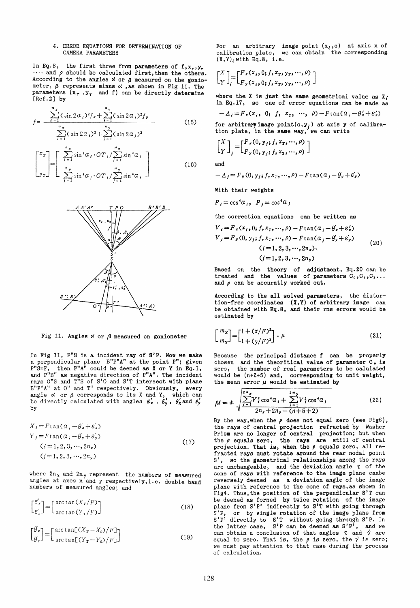#### 4. ERROR EQUATIONS FOR DETERMINATION OF CAMERA PARAMETERS

In Eq.8, the first three from parameters of f,  $x_7, y_7$  $\cdots$  and  $\rho$  should be calculated first, then the others. According to the angles  $\alpha$  or  $\beta$  measured on the goniometer,  $\beta$  represents minus  $\alpha$ , as shown in Fig 11. The parameters  $(x_7, y_7, z_7)$  and f) can be directly determine [Ref.2J by

$$
f = \frac{\sum_{i=1}^{n_x} (\sin 2\alpha_i)^2 f_x + \sum_{j=1}^{n_y} (\sin 2\alpha_j)^2 f_y}{\sum_{i=1}^{n_x} (\sin 2\alpha_i)^2 + \sum_{j=1}^{n_y} (\sin 2\alpha_j)^2}
$$
(15)

$$
\begin{bmatrix} x_T \\ x_T \\ y_T \end{bmatrix} = \begin{bmatrix} \sum_{i=1}^{n_x} \sin^4 a_i \cdot \text{OT}_i / \sum_{i=1}^{n_x} \sin^4 a_i \\ \sum_{j=1}^{n_y} \sin^4 a_j \cdot \text{OT}_j / \sum_{j=1}^{n_y} \sin^4 a_j \end{bmatrix}
$$
 (16)



Fig 11. Angles  $\alpha$  or  $\beta$  measured on goniometer

In Fig 11, P"S is a incident ray of S'P. Now we make<br>a perpendicular plane B"P"A" at the point P"; given  $P^{\prime\prime}S=F$ , then  $P^{\prime\prime}A^{n}$  could be deemed as X or Y in Eq.1, and  $P^{\prime\prime}B^{\prime\prime}$  as negative direction of  $P^{\prime\prime}A^{\prime\prime}$ . The incident rays  $0$ "S and  $T$ "S of S'O and S'T intersect with plane  $B^{\pi}P^{\pi}A^{\pi}$  at  $0^{\pi}$  and  $T^{\pi}$  respectively. Obviously, every angle  $\alpha$  or  $\beta$  corresponds to its X and Y, which can be directly calculated with angles  $\epsilon'_x$ ,  $\epsilon'_y$ ,  $\theta'_x$  and  $\theta'_y$ by

$$
X_{i} = F \tan(\alpha_{i} - \theta_{x}^{\prime} + \varepsilon_{x}^{\prime})
$$
  
\n
$$
Y_{j} = F \tan(\alpha_{j} - \theta_{y}^{\prime} + \varepsilon_{y}^{\prime})
$$
  
\n
$$
(i = 1, 2, 3, ..., 2n_{x})
$$
  
\n
$$
(j = 1, 2, 3, ..., 2n_{y})
$$
  
\n(17)

where  $2n_{\chi}$  and  $2n_{\chi}$  represent the numbers of measured angles at axes  $x'$  and  $y$  respectively, i.e. double band numbers of measured angles; and

$$
\begin{bmatrix} \mathcal{E}'_x \\ \mathcal{E}'_y \end{bmatrix} = \begin{bmatrix} \arctan(X_T/F) \\ \arctan(Y_T/F) \end{bmatrix}
$$
 (18)

$$
\begin{bmatrix} \theta_x' \\ \theta_y' \end{bmatrix} = \begin{bmatrix} \arctan[(X_T - X_0)/F] \\ \arctan[(Y_T - Y_0)/F] \end{bmatrix}
$$
 (19)

For an arbitrary image point  $(x_i, o)$  at axis x of calibration plate, we can obtain the corresponding  $(X, Y)$ <sub>i</sub> with Eq. 8, i.e.

$$
\begin{bmatrix} X \\ Y \end{bmatrix} = \begin{bmatrix} F_x(x_i, 0, f, x_x, y_x, \cdots, \rho) \\ F_y(x_i, 0, f, x_x, y_x, \cdots, \rho) \end{bmatrix}
$$

where the X is just the same geometrical value as  $X_i$ in Eq.17, so one of error equations can be made as

$$
-\Delta_i = F_x(x_i, 0; f, x_x, ..., \rho) - F \tan(\alpha_i - \theta'_x + \varepsilon'_x)
$$

for arbitraryimage  $point(o, y<sub>j</sub>)$  at axis y of calibration plate, in the same way, we can write

$$
\begin{bmatrix} X \\ Y \end{bmatrix}_{j} = \begin{bmatrix} F_{x}(0, y_{j}; f, x_{T}, \cdots, \rho) \\ F_{y}(0, y_{j}; f, x_{T}, \cdots, \rho) \end{bmatrix}
$$

and

$$
-\Delta_j = F_y(0, y_j; f, x_{\tau}, \cdots, \rho) - F \tan(\alpha_j - \theta_y + \varepsilon_y')
$$

With their weights

 $P_i = \cos^4 a_i$ ,  $P_i = \cos^4 a_i$ 

the correction equations cau be written as

$$
V_{i} = F_{x}(x_{i}, 0; f, x_{T}, ..., \rho) - F \tan(\alpha_{i} - \theta_{x} + \varepsilon_{x}')
$$
  
\n
$$
V_{j} = F_{y}(0, y_{j}; f, x_{T}, ..., \rho) - F \tan(\alpha_{j} - \theta_{y} + \varepsilon_{y}')
$$
  
\n
$$
(i = 1, 2, 3, ..., 2n_{x})
$$
  
\n
$$
(j = 1, 2, 3, ..., 2n_{y})
$$
  
\n(20)

Based on the theory of adjustment, Eq.20 can be treated and the values of parameters  $C_0, C_1, C_2...$ and  $\rho$  can be accuratly worked out.

According to the a11 solved parameters, the distortion-free coordinates  $(X, Y)$  of arbitrary image can be obtained w1th Eq.B, and their rms errors would be estimated by

$$
\begin{bmatrix} m_x \\ m_y \end{bmatrix} = \begin{bmatrix} 1 + (x/F)^2 \\ 1 + (y/F)^2 \end{bmatrix} \cdot \mu \tag{21}
$$

Because the principal distance f can be properly chosen and the theoritical value of parameter  $C_{\bullet}$  is zero, the number of real parameters to be calulated the number of real parameters to be calulated would be (n+Z+5) and, corresponding to unit weight, the mean error  $\mu$  would be estimated by

$$
\mu = \pm \sqrt{\frac{\sum_{i=1}^{2n} V_i^2 \cos^4 a_i + \sum_{i=1}^{2n} V_i^2 \cos^4 a_i}{2n_x + 2n_y - (n+5+2)}}
$$
(22)

By the way, when the  $\rho$  does not equal zero (see Fig6), the rays of central projection refracted by Washer Prism are no longer of central projection; but when the  $\rho$  equals zero, the rays are still of central projection. That is, when the  $\rho$  equals zero, all re-<br>fracted rays must rotate around the rear nodal point S') so the geometrical relationships among the rays are unchangeable, and the deviation angle  $\tau$  of the cone of rays with reference to the image plane canbe reversely deemed as a deviation angle of the image plane with reference to the cone of rays, as shown in Fig4. Thus, the position of the perpendicular S'T can be deemed as formed by twice rotation of the image plane from S'P' indirectly to S'T with going through S'P, or by single rotation of the image plane from S'P' directly to S'T without going through S'P. In the latter case,  $S'P$  can be deemed as  $S'P'$ , and we can obtain a conclusion of that angles  $\tau$  and  $\gamma$  are equal to zero. That is, the  $\rho$  is zero, the  $\gamma$  is zero; we must pay attention to that case during the process of calculation.